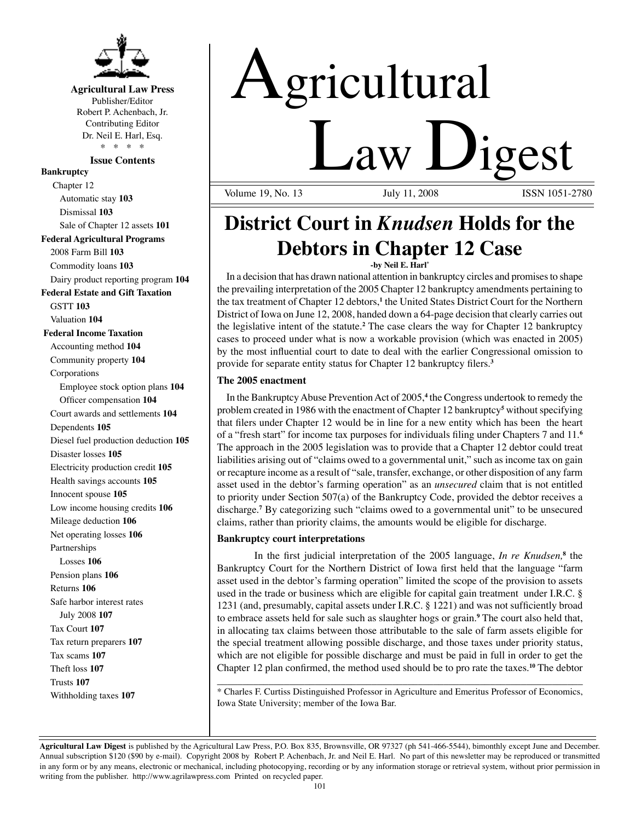

## **Agricultural Law Press**

Publisher/Editor Robert P. Achenbach, Jr. Contributing Editor Dr. Neil E. Harl, Esq. \* \* \* \*

## **Issue Contents**

**Bankruptcy** Chapter 12 Automatic stay **103** Dismissal **103** Sale of Chapter 12 assets **101 Federal Agricultural Programs** 2008 Farm Bill **103** Commodity loans **103** Dairy product reporting program **104 Federal Estate and Gift Taxation** GSTT **103** Valuation **104 Federal Income Taxation** Accounting method **104** Community property **104** Corporations Employee stock option plans **104** Officer compensation **104** Court awards and settlements **104** Dependents **105** Diesel fuel production deduction **105** Disaster losses **105** Electricity production credit **105** Health savings accounts **105** Innocent spouse **105** Low income housing credits **106** Mileage deduction **106** Net operating losses **106** Partnerships Losses **106** Pension plans **106** Returns **106** Safe harbor interest rates July 2008 **107** Tax Court **107** Tax return preparers **107** Tax scams **107** Theft loss **107** Trusts **107** Withholding taxes **107**

# Agricultural <u>Law Digest</u>

Volume 19, No. 13

# **District Court in** *Knudsen* **Holds for the Debtors in Chapter 12 Case**

**-by Neil E. Harl\***

In a decision that has drawn national attention in bankruptcy circles and promises to shape the prevailing interpretation of the 2005 Chapter 12 bankruptcy amendments pertaining to the tax treatment of Chapter 12 debtors,**<sup>1</sup>** the United States District Court for the Northern District of Iowa on June 12, 2008, handed down a 64-page decision that clearly carries out the legislative intent of the statute.**<sup>2</sup>** The case clears the way for Chapter 12 bankruptcy cases to proceed under what is now a workable provision (which was enacted in 2005) by the most influential court to date to deal with the earlier Congressional omission to provide for separate entity status for Chapter 12 bankruptcy filers.**<sup>3</sup>**

## **The 2005 enactment**

In the Bankruptcy Abuse Prevention Act of 2005,**<sup>4</sup>** the Congress undertook to remedy the problem created in 1986 with the enactment of Chapter 12 bankruptcy**<sup>5</sup>** without specifying that filers under Chapter 12 would be in line for a new entity which has been the heart of a "fresh start" for income tax purposes for individuals filing under Chapters 7 and 11.**<sup>6</sup>** The approach in the 2005 legislation was to provide that a Chapter 12 debtor could treat liabilities arising out of "claims owed to a governmental unit," such as income tax on gain or recapture income as a result of "sale, transfer, exchange, or other disposition of any farm asset used in the debtor's farming operation" as an *unsecured* claim that is not entitled to priority under Section 507(a) of the Bankruptcy Code, provided the debtor receives a discharge.**<sup>7</sup>** By categorizing such "claims owed to a governmental unit" to be unsecured claims, rather than priority claims, the amounts would be eligible for discharge.

## **Bankruptcy court interpretations**

In the first judicial interpretation of the 2005 language, *In re Knudsen*,<sup>8</sup> the Bankruptcy Court for the Northern District of Iowa first held that the language "farm asset used in the debtor's farming operation" limited the scope of the provision to assets used in the trade or business which are eligible for capital gain treatment under I.R.C. § 1231 (and, presumably, capital assets under I.R.C. § 1221) and was not sufficiently broad to embrace assets held for sale such as slaughter hogs or grain.**<sup>9</sup>** The court also held that, in allocating tax claims between those attributable to the sale of farm assets eligible for the special treatment allowing possible discharge, and those taxes under priority status, which are not eligible for possible discharge and must be paid in full in order to get the Chapter 12 plan confirmed, the method used should be to pro rate the taxes.**<sup>10</sup>** The debtor

\_\_\_\_\_\_\_\_\_\_\_\_\_\_\_\_\_\_\_\_\_\_\_\_\_\_\_\_\_\_\_\_\_\_\_\_\_\_\_\_\_\_\_\_\_\_\_\_\_\_\_\_\_\_\_\_\_\_\_\_\_\_\_\_\_\_\_\_\_\_\_ \* Charles F. Curtiss Distinguished Professor in Agriculture and Emeritus Professor of Economics, Iowa State University; member of the Iowa Bar.

**Agricultural Law Digest** is published by the Agricultural Law Press, P.O. Box 835, Brownsville, OR 97327 (ph 541-466-5544), bimonthly except June and December. Annual subscription \$120 (\$90 by e-mail). Copyright 2008 by Robert P. Achenbach, Jr. and Neil E. Harl. No part of this newsletter may be reproduced or transmitted in any form or by any means, electronic or mechanical, including photocopying, recording or by any information storage or retrieval system, without prior permission in writing from the publisher. http://www.agrilawpress.com Printed on recycled paper.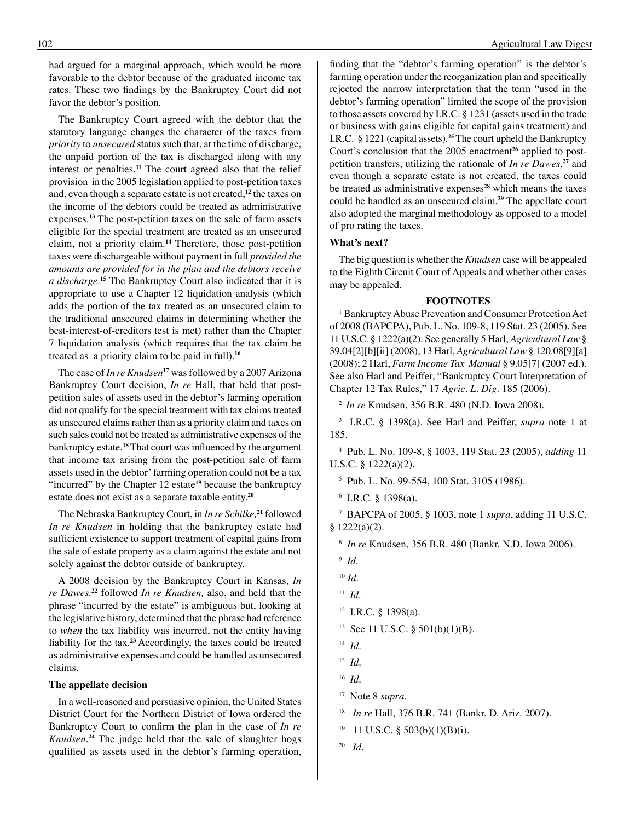had argued for a marginal approach, which would be more favorable to the debtor because of the graduated income tax rates. These two findings by the Bankruptcy Court did not favor the debtor's position.

The Bankruptcy Court agreed with the debtor that the statutory language changes the character of the taxes from *priority* to *unsecured* status such that, at the time of discharge, the unpaid portion of the tax is discharged along with any interest or penalties.**<sup>11</sup>** The court agreed also that the relief provision in the 2005 legislation applied to post-petition taxes and, even though a separate estate is not created,**<sup>12</sup>** the taxes on the income of the debtors could be treated as administrative expenses.**<sup>13</sup>** The post-petition taxes on the sale of farm assets eligible for the special treatment are treated as an unsecured claim, not a priority claim.**<sup>14</sup>** Therefore, those post-petition taxes were dischargeable without payment in full *provided the amounts are provided for in the plan and the debtors receive a discharge.***<sup>15</sup>** The Bankruptcy Court also indicated that it is appropriate to use a Chapter 12 liquidation analysis (which adds the portion of the tax treated as an unsecured claim to the traditional unsecured claims in determining whether the best-interest-of-creditors test is met) rather than the Chapter 7 liquidation analysis (which requires that the tax claim be treated as a priority claim to be paid in full).**<sup>16</sup>**

The case of *In re Knudsen*<sup>17</sup> was followed by a 2007 Arizona Bankruptcy Court decision, *In re* Hall, that held that postpetition sales of assets used in the debtor's farming operation did not qualify for the special treatment with tax claims treated as unsecured claims rather than as a priority claim and taxes on such sales could not be treated as administrative expenses of the bankruptcy estate.<sup>18</sup> That court was influenced by the argument that income tax arising from the post-petition sale of farm assets used in the debtor' farming operation could not be a tax "incurred" by the Chapter 12 estate**<sup>19</sup>** because the bankruptcy estate does not exist as a separate taxable entity.**<sup>20</sup>**

The Nebraska Bankruptcy Court, in *In re Schilke,***<sup>21</sup>** followed *In re Knudsen* in holding that the bankruptcy estate had sufficient existence to support treatment of capital gains from the sale of estate property as a claim against the estate and not solely against the debtor outside of bankruptcy.

A 2008 decision by the Bankruptcy Court in Kansas, *In re Dawes,***<sup>22</sup>** followed *In re Knudsen,* also, and held that the phrase "incurred by the estate" is ambiguous but, looking at the legislative history, determined that the phrase had reference to *when* the tax liability was incurred, not the entity having liability for the tax.**<sup>23</sup>**Accordingly, the taxes could be treated as administrative expenses and could be handled as unsecured claims.

#### **The appellate decision**

In a well-reasoned and persuasive opinion, the United States District Court for the Northern District of Iowa ordered the Bankruptcy Court to confirm the plan in the case of *In re Knudsen.***<sup>24</sup>** The judge held that the sale of slaughter hogs qualified as assets used in the debtor's farming operation, finding that the "debtor's farming operation" is the debtor's farming operation under the reorganization plan and specifically rejected the narrow interpretation that the term "used in the debtor's farming operation" limited the scope of the provision to those assets covered by I.R.C. § 1231 (assets used in the trade or business with gains eligible for capital gains treatment) and I.R.C. § 1221 (capital assets).**<sup>25</sup>** The court upheld the Bankruptcy Court's conclusion that the 2005 enactment**26** applied to postpetition transfers, utilizing the rationale of *In re Dawes,***<sup>27</sup>** and even though a separate estate is not created, the taxes could be treated as administrative expenses**<sup>28</sup>** which means the taxes could be handled as an unsecured claim.**<sup>29</sup>** The appellate court also adopted the marginal methodology as opposed to a model of pro rating the taxes.

#### **What's next?**

The big question is whether the *Knudsen* case will be appealed to the Eighth Circuit Court of Appeals and whether other cases may be appealed.

#### **FOOTNOTES**

<sup>1</sup> Bankruptcy Abuse Prevention and Consumer Protection Act of 2008 (BAPCPA), Pub. L. No. 109-8, 119 Stat. 23 (2005). See 11 U.S.C. § 1222(a)(2). See generally 5 Harl, *Agricultural Law* § 39.04[2][b][ii] (2008), 13 Harl, *Agricultural Law* § 120.08[9][a] (2008); 2 Harl, *Farm Income Tax Manual* § 9.05[7] (2007 ed.). See also Harl and Peiffer, "Bankruptcy Court Interpretation of Chapter 12 Tax Rules," 17 *Agric. L. Dig*. 185 (2006).

<sup>2</sup>*In re* Knudsen, 356 B.R. 480 (N.D. Iowa 2008).

3 I.R.C. § 1398(a). See Harl and Peiffer, *supra* note 1 at 185.

4 Pub. L. No. 109-8, § 1003, 119 Stat. 23 (2005), *adding* 11 U.S.C. § 1222(a)(2).

- 5 Pub. L. No. 99-554, 100 Stat. 3105 (1986).
- 6 I.R.C. § 1398(a).

7 BAPCPA of 2005, § 1003, note 1 *supra*, adding 11 U.S.C.  $§ 1222(a)(2).$ 

8 *In re* Knudsen, 356 B.R. 480 (Bankr. N.D. Iowa 2006).

<sup>10</sup> *Id*.

- 12 I.R.C. § 1398(a).
- <sup>13</sup> See 11 U.S.C. § 501(b)(1)(B).
- 14 *Id*.
- 15 *Id*.
- 16 *Id*.
- <sup>17</sup> Note 8 *supra*.
- 18 *In re* Hall, 376 B.R. 741 (Bankr. D. Ariz. 2007).
- $19$  11 U.S.C. § 503(b)(1)(B)(i).
- 20 *Id*.

<sup>9</sup> *Id*.

<sup>11</sup> *Id*.